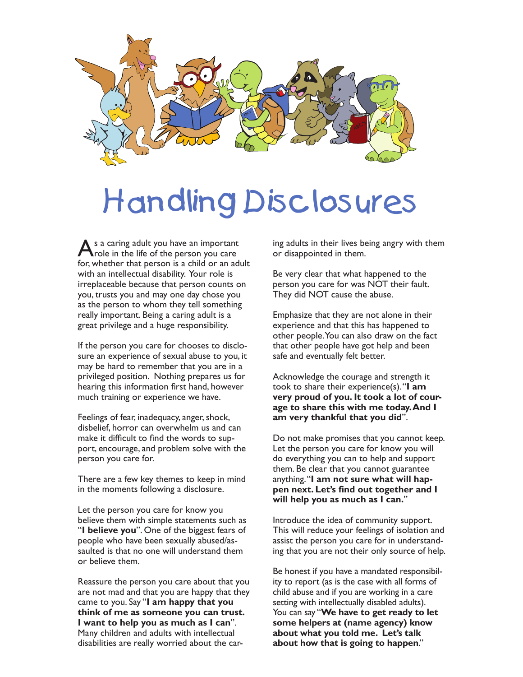

## Handling Disclosures

As a caring adult you have an important<br>
Trole in the life of the person you care for, whether that person is a child or an adult with an intellectual disability. Your role is irreplaceable because that person counts on you, trusts you and may one day chose you as the person to whom they tell something really important. Being a caring adult is a great privilege and a huge responsibility.

If the person you care for chooses to disclosure an experience of sexual abuse to you, it may be hard to remember that you are in a privileged position. Nothing prepares us for hearing this information first hand, however much training or experience we have.

Feelings of fear, inadequacy, anger, shock, disbelief, horror can overwhelm us and can make it difficult to find the words to support, encourage, and problem solve with the person you care for.

There are a few key themes to keep in mind in the moments following a disclosure.

Let the person you care for know you believe them with simple statements such as "**I believe you**". One of the biggest fears of people who have been sexually abused/assaulted is that no one will understand them or believe them.

Reassure the person you care about that you are not mad and that you are happy that they came to you. Say "**I am happy that you think of me as someone you can trust. I want to help you as much as I can**". Many children and adults with intellectual disabilities are really worried about the caring adults in their lives being angry with them or disappointed in them.

Be very clear that what happened to the person you care for was NOT their fault. They did NOT cause the abuse.

Emphasize that they are not alone in their experience and that this has happened to other people. You can also draw on the fact that other people have got help and been safe and eventually felt better.

Acknowledge the courage and strength it took to share their experience(s). "**I am very proud of you. It took a lot of courage to share this with me today. And I am very thankful that you did**".

Do not make promises that you cannot keep. Let the person you care for know you will do everything you can to help and support them. Be clear that you cannot guarantee anything. "**I am not sure what will happen next. Let's find out together and I will help you as much as I can.**"

Introduce the idea of community support. This will reduce your feelings of isolation and assist the person you care for in understanding that you are not their only source of help.

Be honest if you have a mandated responsibility to report (as is the case with all forms of child abuse and if you are working in a care setting with intellectually disabled adults). You can say "**We have to get ready to let some helpers at (name agency) know about what you told me. Let's talk about how that is going to happen**."